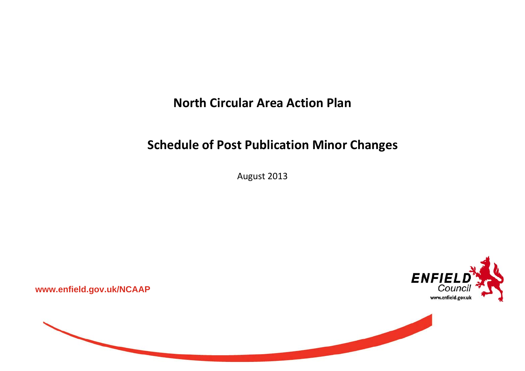**North Circular Area Action Plan**

## **Schedule of Post Publication Minor Changes**

August 2013



**www.enfield.gov.uk/NCAAP** 

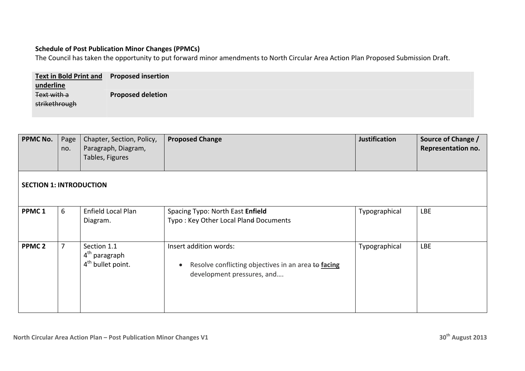## **Schedule of Post Publication Minor Changes (PPMCs)**

The Council has taken the opportunity to put forward minor amendments to North Circular Area Action Plan Proposed Submission Draft.

| <b>Text in Bold Print and Proposed insertion</b> |                          |
|--------------------------------------------------|--------------------------|
| underline<br>Text with a                         | <b>Proposed deletion</b> |
| strikethrough                                    |                          |

| <b>PPMC No.</b>                | Page<br>no. | Chapter, Section, Policy,<br>Paragraph, Diagram,<br>Tables, Figures       | <b>Proposed Change</b>                                                                                      | <b>Justification</b> | Source of Change /<br>Representation no. |  |  |  |
|--------------------------------|-------------|---------------------------------------------------------------------------|-------------------------------------------------------------------------------------------------------------|----------------------|------------------------------------------|--|--|--|
| <b>SECTION 1: INTRODUCTION</b> |             |                                                                           |                                                                                                             |                      |                                          |  |  |  |
| PPMC <sub>1</sub>              | 6           | Enfield Local Plan<br>Diagram.                                            | Spacing Typo: North East Enfield<br>Typo: Key Other Local Pland Documents                                   | Typographical        | LBE                                      |  |  |  |
| <b>PPMC<sub>2</sub></b>        |             | Section 1.1<br>4 <sup>th</sup> paragraph<br>4 <sup>th</sup> bullet point. | Insert addition words:<br>Resolve conflicting objectives in an area to facing<br>development pressures, and | Typographical        | <b>LBE</b>                               |  |  |  |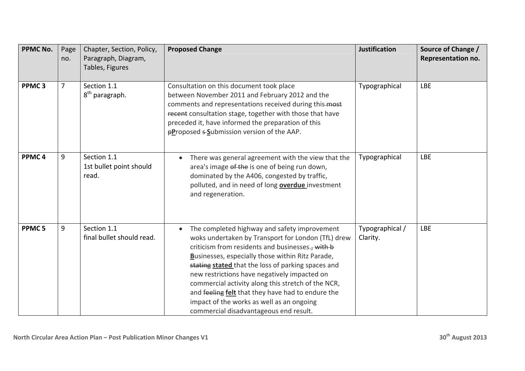| <b>PPMC No.</b>   | Page<br>no.    | Chapter, Section, Policy,<br>Paragraph, Diagram,<br>Tables, Figures | <b>Proposed Change</b>                                                                                                                                                                                                                                                                                                                                                                                                                                                                                             | <b>Justification</b>        | Source of Change /<br>Representation no. |
|-------------------|----------------|---------------------------------------------------------------------|--------------------------------------------------------------------------------------------------------------------------------------------------------------------------------------------------------------------------------------------------------------------------------------------------------------------------------------------------------------------------------------------------------------------------------------------------------------------------------------------------------------------|-----------------------------|------------------------------------------|
| PPMC <sub>3</sub> | $\overline{7}$ | Section 1.1<br>8 <sup>th</sup> paragraph.                           | Consultation on this document took place<br>between November 2011 and February 2012 and the<br>comments and representations received during this-most<br>recent consultation stage, together with those that have<br>preceded it, have informed the preparation of this<br><b>pProposed = Submission version of the AAP.</b>                                                                                                                                                                                       | Typographical               | <b>LBE</b>                               |
| PPMC <sub>4</sub> | 9              | Section 1.1<br>1st bullet point should<br>read.                     | There was general agreement with the view that the<br>area's image of the is one of being run down,<br>dominated by the A406, congested by traffic,<br>polluted, and in need of long <b>overdue</b> investment<br>and regeneration.                                                                                                                                                                                                                                                                                | Typographical               | <b>LBE</b>                               |
| PPMC <sub>5</sub> | 9              | Section 1.1<br>final bullet should read.                            | The completed highway and safety improvement<br>woks undertaken by Transport for London (TfL) drew<br>criticism from residents and businesses., with b<br>Businesses, especially those within Ritz Parade,<br>stating stated that the loss of parking spaces and<br>new restrictions have negatively impacted on<br>commercial activity along this stretch of the NCR,<br>and feeling felt that they have had to endure the<br>impact of the works as well as an ongoing<br>commercial disadvantageous end result. | Typographical /<br>Clarity. | <b>LBE</b>                               |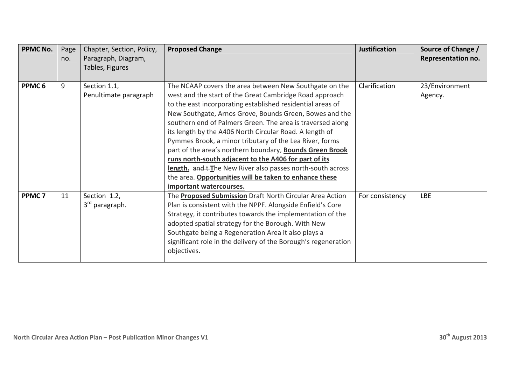| <b>PPMC No.</b>   | Page<br>no. | Chapter, Section, Policy,<br>Paragraph, Diagram,<br>Tables, Figures | <b>Proposed Change</b>                                                                                                                                                                                                                                                                                                                                                                                                                                                                                                                                                                                                                                                                                 | <b>Justification</b> | Source of Change /<br>Representation no. |
|-------------------|-------------|---------------------------------------------------------------------|--------------------------------------------------------------------------------------------------------------------------------------------------------------------------------------------------------------------------------------------------------------------------------------------------------------------------------------------------------------------------------------------------------------------------------------------------------------------------------------------------------------------------------------------------------------------------------------------------------------------------------------------------------------------------------------------------------|----------------------|------------------------------------------|
| PPMC <sub>6</sub> | 9           | Section 1.1,<br>Penultimate paragraph                               | The NCAAP covers the area between New Southgate on the<br>west and the start of the Great Cambridge Road approach<br>to the east incorporating established residential areas of<br>New Southgate, Arnos Grove, Bounds Green, Bowes and the<br>southern end of Palmers Green. The area is traversed along<br>its length by the A406 North Circular Road. A length of<br>Pymmes Brook, a minor tributary of the Lea River, forms<br>part of the area's northern boundary, Bounds Green Brook<br>runs north-south adjacent to the A406 for part of its<br>length. and t-The New River also passes north-south across<br>the area. Opportunities will be taken to enhance these<br>important watercourses. | Clarification        | 23/Environment<br>Agency.                |
| PPMC <sub>7</sub> | 11          | Section 1.2,<br>3rd paragraph.                                      | The <b>Proposed Submission</b> Draft North Circular Area Action<br>Plan is consistent with the NPPF. Alongside Enfield's Core<br>Strategy, it contributes towards the implementation of the<br>adopted spatial strategy for the Borough. With New<br>Southgate being a Regeneration Area it also plays a<br>significant role in the delivery of the Borough's regeneration<br>objectives.                                                                                                                                                                                                                                                                                                              | For consistency      | LBE                                      |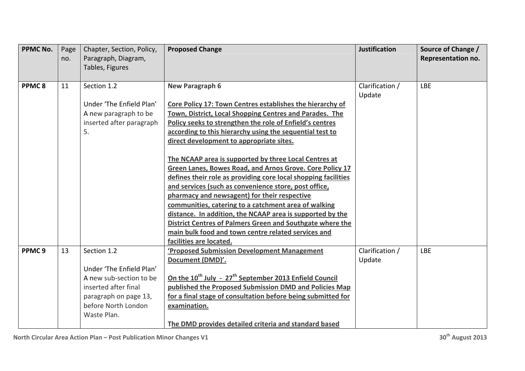| <b>PPMC No.</b>   | Page<br>no. | Chapter, Section, Policy,<br>Paragraph, Diagram,<br>Tables, Figures                                                                                       | <b>Proposed Change</b>                                                                                                                                                                                                                                                                                                                                                                                                                                                                                                                                                                                                                                                                                                                                                                                                                                      | <b>Justification</b>      | Source of Change /<br>Representation no. |
|-------------------|-------------|-----------------------------------------------------------------------------------------------------------------------------------------------------------|-------------------------------------------------------------------------------------------------------------------------------------------------------------------------------------------------------------------------------------------------------------------------------------------------------------------------------------------------------------------------------------------------------------------------------------------------------------------------------------------------------------------------------------------------------------------------------------------------------------------------------------------------------------------------------------------------------------------------------------------------------------------------------------------------------------------------------------------------------------|---------------------------|------------------------------------------|
| PPMC8             | 11          | Section 1.2<br>Under 'The Enfield Plan'<br>A new paragraph to be<br>inserted after paragraph<br>5.                                                        | <b>New Paragraph 6</b><br>Core Policy 17: Town Centres establishes the hierarchy of<br>Town, District, Local Shopping Centres and Parades. The<br>Policy seeks to strengthen the role of Enfield's centres<br>according to this hierarchy using the sequential test to<br>direct development to appropriate sites.<br>The NCAAP area is supported by three Local Centres at<br>Green Lanes, Bowes Road, and Arnos Grove. Core Policy 17<br>defines their role as providing core local shopping facilities<br>and services (such as convenience store, post office,<br>pharmacy and newsagent) for their respective<br>communities, catering to a catchment area of walking<br>distance. In addition, the NCAAP area is supported by the<br>District Centres of Palmers Green and Southgate where the<br>main bulk food and town centre related services and | Clarification /<br>Update | <b>LBE</b>                               |
| PPMC <sub>9</sub> | 13          | Section 1.2<br>Under 'The Enfield Plan'<br>A new sub-section to be<br>inserted after final<br>paragraph on page 13,<br>before North London<br>Waste Plan. | facilities are located.<br><b>'Proposed Submission Development Management</b><br>Document (DMD)'.<br>On the 10 <sup>th</sup> July - 27 <sup>th</sup> September 2013 Enfield Council<br>published the Proposed Submission DMD and Policies Map<br>for a final stage of consultation before being submitted for<br>examination.<br>The DMD provides detailed criteria and standard based                                                                                                                                                                                                                                                                                                                                                                                                                                                                      | Clarification /<br>Update | <b>LBE</b>                               |

**North Circular Area Action Plan – Post Publication Minor Changes V1 <sup>30</sup>th August <sup>2013</sup>**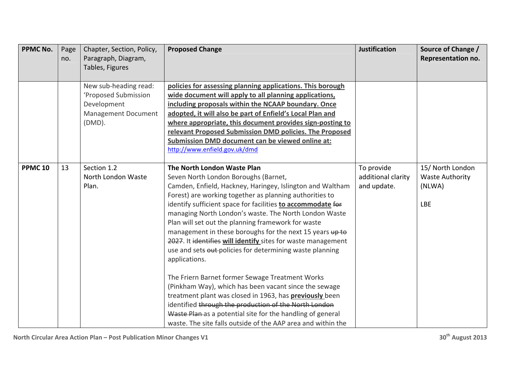| <b>PPMC No.</b> | Page<br>no. | Chapter, Section, Policy,<br>Paragraph, Diagram,<br>Tables, Figures                              | <b>Proposed Change</b>                                                                                                                                                                                                                                                                                                                                                                                                                                                                                                                                                                                                                                                                                                                                                                                                                                                                                                                                  | <b>Justification</b>                            | Source of Change /<br>Representation no.                           |
|-----------------|-------------|--------------------------------------------------------------------------------------------------|---------------------------------------------------------------------------------------------------------------------------------------------------------------------------------------------------------------------------------------------------------------------------------------------------------------------------------------------------------------------------------------------------------------------------------------------------------------------------------------------------------------------------------------------------------------------------------------------------------------------------------------------------------------------------------------------------------------------------------------------------------------------------------------------------------------------------------------------------------------------------------------------------------------------------------------------------------|-------------------------------------------------|--------------------------------------------------------------------|
|                 |             | New sub-heading read:<br>'Proposed Submission<br>Development<br>Management Document<br>$(DMD)$ . | policies for assessing planning applications. This borough<br>wide document will apply to all planning applications,<br>including proposals within the NCAAP boundary. Once<br>adopted, it will also be part of Enfield's Local Plan and<br>where appropriate, this document provides sign-posting to<br>relevant Proposed Submission DMD policies. The Proposed<br>Submission DMD document can be viewed online at:<br>http://www.enfield.gov.uk/dmd                                                                                                                                                                                                                                                                                                                                                                                                                                                                                                   |                                                 |                                                                    |
| <b>PPMC 10</b>  | 13          | Section 1.2<br>North London Waste<br>Plan.                                                       | The North London Waste Plan<br>Seven North London Boroughs (Barnet,<br>Camden, Enfield, Hackney, Haringey, Islington and Waltham<br>Forest) are working together as planning authorities to<br>identify sufficient space for facilities to accommodate for<br>managing North London's waste. The North London Waste<br>Plan will set out the planning framework for waste<br>management in these boroughs for the next 15 years up to<br>2027. It identifies will identify sites for waste management<br>use and sets out policies for determining waste planning<br>applications.<br>The Friern Barnet former Sewage Treatment Works<br>(Pinkham Way), which has been vacant since the sewage<br>treatment plant was closed in 1963, has <b>previously</b> been<br>identified through the production of the North London<br>Waste Plan as a potential site for the handling of general<br>waste. The site falls outside of the AAP area and within the | To provide<br>additional clarity<br>and update. | 15/ North London<br><b>Waste Authority</b><br>(NLWA)<br><b>LBE</b> |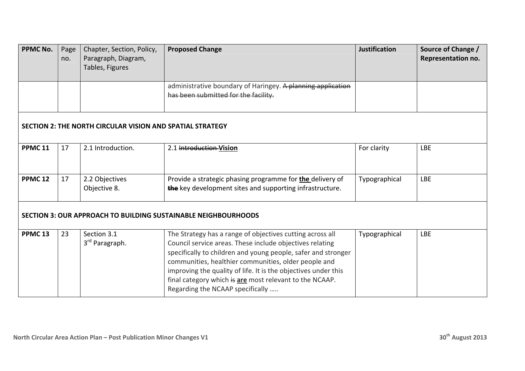| <b>PPMC No.</b>    | Page<br>no. | Chapter, Section, Policy,<br>Paragraph, Diagram,<br>Tables, Figures | <b>Proposed Change</b>                                                                                                                                                                                                                                                                                                                                                                                          | <b>Justification</b> | Source of Change /<br>Representation no. |
|--------------------|-------------|---------------------------------------------------------------------|-----------------------------------------------------------------------------------------------------------------------------------------------------------------------------------------------------------------------------------------------------------------------------------------------------------------------------------------------------------------------------------------------------------------|----------------------|------------------------------------------|
|                    |             |                                                                     | administrative boundary of Haringey. A planning application<br>has been submitted for the facility.                                                                                                                                                                                                                                                                                                             |                      |                                          |
|                    |             | <b>SECTION 2: THE NORTH CIRCULAR VISION AND SPATIAL STRATEGY</b>    |                                                                                                                                                                                                                                                                                                                                                                                                                 |                      |                                          |
| <b>PPMC 11</b>     | 17          | 2.1 Introduction.                                                   | 2.1 Introduction-Vision                                                                                                                                                                                                                                                                                                                                                                                         | For clarity          | <b>LBE</b>                               |
| <b>PPMC 12</b>     | 17          | 2.2 Objectives<br>Objective 8.                                      | Provide a strategic phasing programme for <b>the</b> delivery of<br>the key development sites and supporting infrastructure.                                                                                                                                                                                                                                                                                    | Typographical        | <b>LBE</b>                               |
|                    |             |                                                                     | <b>SECTION 3: OUR APPROACH TO BUILDING SUSTAINABLE NEIGHBOURHOODS</b>                                                                                                                                                                                                                                                                                                                                           |                      |                                          |
| PPMC <sub>13</sub> | 23          | Section 3.1<br>3rd Paragraph.                                       | The Strategy has a range of objectives cutting across all<br>Council service areas. These include objectives relating<br>specifically to children and young people, safer and stronger<br>communities, healthier communities, older people and<br>improving the quality of life. It is the objectives under this<br>final category which is are most relevant to the NCAAP.<br>Regarding the NCAAP specifically | Typographical        | <b>LBE</b>                               |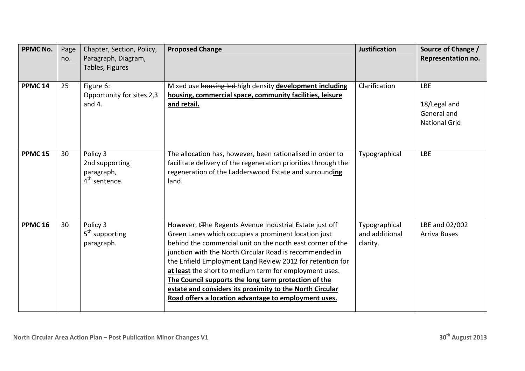| <b>PPMC No.</b>    | Page<br>no. | Chapter, Section, Policy,<br>Paragraph, Diagram,<br>Tables, Figures   | <b>Proposed Change</b>                                                                                                                                                                                                                                                                                                                                                                                                                                                                                                                      | <b>Justification</b>                        | Source of Change /<br>Representation no.                          |
|--------------------|-------------|-----------------------------------------------------------------------|---------------------------------------------------------------------------------------------------------------------------------------------------------------------------------------------------------------------------------------------------------------------------------------------------------------------------------------------------------------------------------------------------------------------------------------------------------------------------------------------------------------------------------------------|---------------------------------------------|-------------------------------------------------------------------|
| PPMC <sub>14</sub> | 25          | Figure 6:<br>Opportunity for sites 2,3<br>and $4.$                    | Mixed use housing led-high density development including<br>housing, commercial space, community facilities, leisure<br>and retail.                                                                                                                                                                                                                                                                                                                                                                                                         | Clarification                               | <b>LBE</b><br>18/Legal and<br>General and<br><b>National Grid</b> |
| <b>PPMC 15</b>     | 30          | Policy 3<br>2nd supporting<br>paragraph,<br>4 <sup>th</sup> sentence. | The allocation has, however, been rationalised in order to<br>facilitate delivery of the regeneration priorities through the<br>regeneration of the Ladderswood Estate and surrounding<br>land.                                                                                                                                                                                                                                                                                                                                             | Typographical                               | <b>LBE</b>                                                        |
| <b>PPMC 16</b>     | 30          | Policy 3<br>5 <sup>th</sup> supporting<br>paragraph.                  | However, tThe Regents Avenue Industrial Estate just off<br>Green Lanes which occupies a prominent location just<br>behind the commercial unit on the north east corner of the<br>junction with the North Circular Road is recommended in<br>the Enfield Employment Land Review 2012 for retention for<br>at least the short to medium term for employment uses.<br>The Council supports the long term protection of the<br>estate and considers its proximity to the North Circular<br>Road offers a location advantage to employment uses. | Typographical<br>and additional<br>clarity. | LBE and 02/002<br><b>Arriva Buses</b>                             |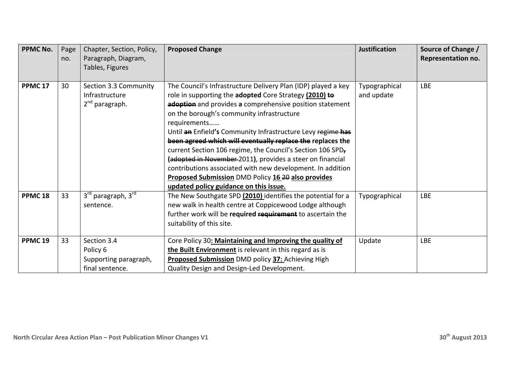| <b>PPMC No.</b>    | Page<br>no. | Chapter, Section, Policy,<br>Paragraph, Diagram,<br>Tables, Figures   | <b>Proposed Change</b>                                                                                                                                                                                                                                                                                                                                                                                                                                                                                                                                                                                                                                                        | <b>Justification</b>        | Source of Change /<br>Representation no. |
|--------------------|-------------|-----------------------------------------------------------------------|-------------------------------------------------------------------------------------------------------------------------------------------------------------------------------------------------------------------------------------------------------------------------------------------------------------------------------------------------------------------------------------------------------------------------------------------------------------------------------------------------------------------------------------------------------------------------------------------------------------------------------------------------------------------------------|-----------------------------|------------------------------------------|
| <b>PPMC 17</b>     | 30          | Section 3.3 Community<br>Infrastructure<br>2 <sup>nd</sup> paragraph. | The Council's Infrastructure Delivery Plan (IDP) played a key<br>role in supporting the adopted Core Strategy (2010) to<br>adoption and provides a comprehensive position statement<br>on the borough's community infrastructure<br>requirements<br>Until an Enfield's Community Infrastructure Levy regime has<br>been agreed which will eventually replace the replaces the<br>current Section 106 regime, the Council's Section 106 SPD,<br>(adopted in November-2011), provides a steer on financial<br>contributions associated with new development. In addition<br><b>Proposed Submission DMD Policy 16 20 also provides</b><br>updated policy guidance on this issue. | Typographical<br>and update | <b>LBE</b>                               |
| PPMC <sub>18</sub> | 33          | 3rd paragraph, 3rd<br>sentence.                                       | The New Southgate SPD (2010) identifies the potential for a<br>new walk in health centre at Coppicewood Lodge although<br>further work will be required requirement to ascertain the<br>suitability of this site.                                                                                                                                                                                                                                                                                                                                                                                                                                                             | Typographical               | <b>LBE</b>                               |
| PPMC <sub>19</sub> | 33          | Section 3.4<br>Policy 6<br>Supporting paragraph,<br>final sentence.   | Core Policy 30: Maintaining and Improving the quality of<br>the Built Environment is relevant in this regard as is<br><b>Proposed Submission DMD policy 37: Achieving High</b><br>Quality Design and Design-Led Development.                                                                                                                                                                                                                                                                                                                                                                                                                                                  | Update                      | <b>LBE</b>                               |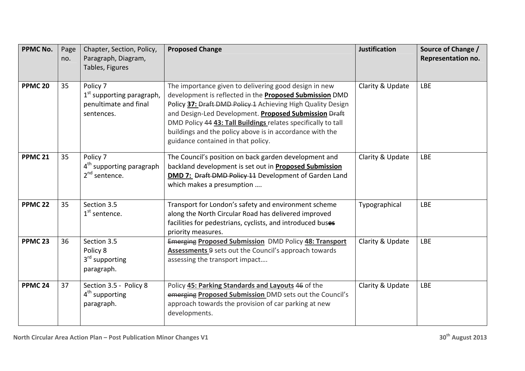| <b>PPMC No.</b>    | Page<br>no. | Chapter, Section, Policy,<br>Paragraph, Diagram,<br>Tables, Figures                      | <b>Proposed Change</b>                                                                                                                                                                                                                                                                                                                                                                                             | <b>Justification</b> | Source of Change /<br>Representation no. |
|--------------------|-------------|------------------------------------------------------------------------------------------|--------------------------------------------------------------------------------------------------------------------------------------------------------------------------------------------------------------------------------------------------------------------------------------------------------------------------------------------------------------------------------------------------------------------|----------------------|------------------------------------------|
| PPMC <sub>20</sub> | 35          | Policy 7<br>1 <sup>st</sup> supporting paragraph,<br>penultimate and final<br>sentences. | The importance given to delivering good design in new<br>development is reflected in the <b>Proposed Submission</b> DMD<br>Policy 37: Draft DMD Policy 1 Achieving High Quality Design<br>and Design-Led Development. Proposed Submission Draft<br>DMD Policy 44 43: Tall Buildings relates specifically to tall<br>buildings and the policy above is in accordance with the<br>guidance contained in that policy. | Clarity & Update     | <b>LBE</b>                               |
| <b>PPMC 21</b>     | 35          | Policy 7<br>4 <sup>th</sup> supporting paragraph<br>2 <sup>nd</sup> sentence.            | The Council's position on back garden development and<br>backland development is set out in <b>Proposed Submission</b><br>DMD 7: Draft DMD Policy 11 Development of Garden Land<br>which makes a presumption                                                                                                                                                                                                       | Clarity & Update     | <b>LBE</b>                               |
| <b>PPMC 22</b>     | 35          | Section 3.5<br>$1st$ sentence.                                                           | Transport for London's safety and environment scheme<br>along the North Circular Road has delivered improved<br>facilities for pedestrians, cyclists, and introduced buses<br>priority measures.                                                                                                                                                                                                                   | Typographical        | <b>LBE</b>                               |
| PPMC <sub>23</sub> | 36          | Section 3.5<br>Policy 8<br>3 <sup>rd</sup> supporting<br>paragraph.                      | <b>Emerging Proposed Submission DMD Policy 48: Transport</b><br>Assessments 9 sets out the Council's approach towards<br>assessing the transport impact                                                                                                                                                                                                                                                            | Clarity & Update     | <b>LBE</b>                               |
| PPMC <sub>24</sub> | 37          | Section 3.5 - Policy 8<br>4 <sup>th</sup> supporting<br>paragraph.                       | Policy 45: Parking Standards and Layouts 46 of the<br>emerging Proposed Submission DMD sets out the Council's<br>approach towards the provision of car parking at new<br>developments.                                                                                                                                                                                                                             | Clarity & Update     | <b>LBE</b>                               |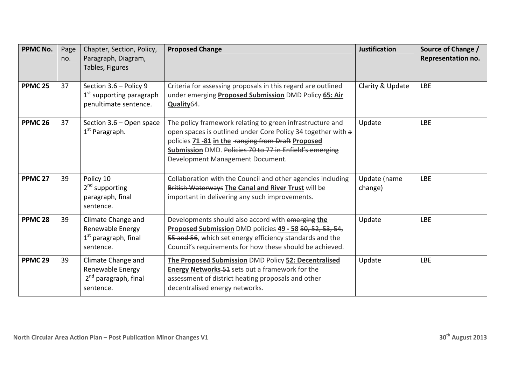| <b>PPMC No.</b>    | Page<br>no. | Chapter, Section, Policy,<br>Paragraph, Diagram,<br>Tables, Figures                     | <b>Proposed Change</b>                                                                                                                                                                                                                                                                 | <b>Justification</b>    | Source of Change /<br>Representation no. |
|--------------------|-------------|-----------------------------------------------------------------------------------------|----------------------------------------------------------------------------------------------------------------------------------------------------------------------------------------------------------------------------------------------------------------------------------------|-------------------------|------------------------------------------|
| PPMC <sub>25</sub> | 37          | Section 3.6 - Policy 9<br>1 <sup>st</sup> supporting paragraph<br>penultimate sentence. | Criteria for assessing proposals in this regard are outlined<br>under emerging Proposed Submission DMD Policy 65: Air<br>Quality <sub>64</sub> .                                                                                                                                       | Clarity & Update        | <b>LBE</b>                               |
| <b>PPMC 26</b>     | 37          | Section 3.6 - Open space<br>$1st$ Paragraph.                                            | The policy framework relating to green infrastructure and<br>open spaces is outlined under Core Policy 34 together with a<br>policies 71 -81 in the -ranging from Draft Proposed<br>Submission DMD. Policies 70 to 77 in Enfield's emerging<br><b>Development Management Document.</b> | Update                  | <b>LBE</b>                               |
| PPMC <sub>27</sub> | 39          | Policy 10<br>2 <sup>nd</sup> supporting<br>paragraph, final<br>sentence.                | Collaboration with the Council and other agencies including<br>British Waterways The Canal and River Trust will be<br>important in delivering any such improvements.                                                                                                                   | Update (name<br>change) | <b>LBE</b>                               |
| PPMC <sub>28</sub> | 39          | Climate Change and<br>Renewable Energy<br>$1st$ paragraph, final<br>sentence.           | Developments should also accord with emerging the<br>Proposed Submission DMD policies 49 - 58 50, 52, 53, 54,<br>55 and 56, which set energy efficiency standards and the<br>Council's requirements for how these should be achieved.                                                  | Update                  | <b>LBE</b>                               |
| PPMC <sub>29</sub> | 39          | Climate Change and<br>Renewable Energy<br>2 <sup>nd</sup> paragraph, final<br>sentence. | The Proposed Submission DMD Policy 52: Decentralised<br><b>Energy Networks-51</b> sets out a framework for the<br>assessment of district heating proposals and other<br>decentralised energy networks.                                                                                 | Update                  | <b>LBE</b>                               |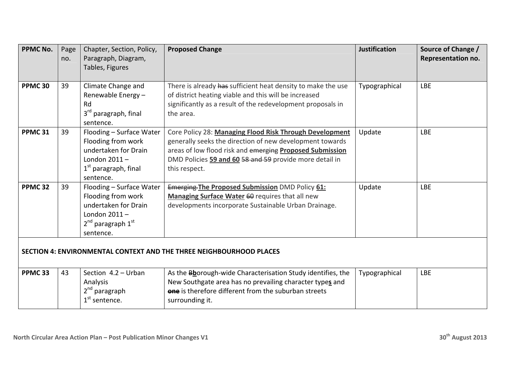| <b>PPMC No.</b>    | Page<br>no.                                                         | Chapter, Section, Policy,<br>Paragraph, Diagram,<br>Tables, Figures                                                                   | <b>Proposed Change</b>                                                                                                                                                                                                                                      | <b>Justification</b> | Source of Change /<br>Representation no. |  |  |  |
|--------------------|---------------------------------------------------------------------|---------------------------------------------------------------------------------------------------------------------------------------|-------------------------------------------------------------------------------------------------------------------------------------------------------------------------------------------------------------------------------------------------------------|----------------------|------------------------------------------|--|--|--|
| PPMC <sub>30</sub> | 39                                                                  | Climate Change and<br>Renewable Energy-<br>Rd<br>3 <sup>rd</sup> paragraph, final<br>sentence.                                        | There is already has sufficient heat density to make the use<br>of district heating viable and this will be increased<br>significantly as a result of the redevelopment proposals in<br>the area.                                                           | Typographical        | <b>LBE</b>                               |  |  |  |
| PPMC <sub>31</sub> | 39                                                                  | Flooding - Surface Water<br>Flooding from work<br>undertaken for Drain<br>London $2011 -$<br>$1st$ paragraph, final<br>sentence.      | Core Policy 28: Managing Flood Risk Through Development<br>generally seeks the direction of new development towards<br>areas of low flood risk and emerging Proposed Submission<br>DMD Policies 59 and 60 58 and 59 provide more detail in<br>this respect. | Update               | <b>LBE</b>                               |  |  |  |
| PPMC <sub>32</sub> | 39                                                                  | Flooding - Surface Water<br>Flooding from work<br>undertaken for Drain<br>London $2011 -$<br>$2^{nd}$ paragraph $1^{st}$<br>sentence. | <b>Emerging The Proposed Submission DMD Policy 61:</b><br>Managing Surface Water 60 requires that all new<br>developments incorporate Sustainable Urban Drainage.                                                                                           | Update               | <b>LBE</b>                               |  |  |  |
|                    | SECTION 4: ENVIRONMENTAL CONTEXT AND THE THREE NEIGHBOURHOOD PLACES |                                                                                                                                       |                                                                                                                                                                                                                                                             |                      |                                          |  |  |  |
| PPMC <sub>33</sub> | 43                                                                  | Section 4.2 - Urban<br>Analysis<br>2 <sup>nd</sup> paragraph<br>$1st$ sentence.                                                       | As the Bhorough-wide Characterisation Study identifies, the<br>New Southgate area has no prevailing character types and<br><b>one</b> is therefore different from the suburban streets<br>surrounding it.                                                   | Typographical        | <b>LBE</b>                               |  |  |  |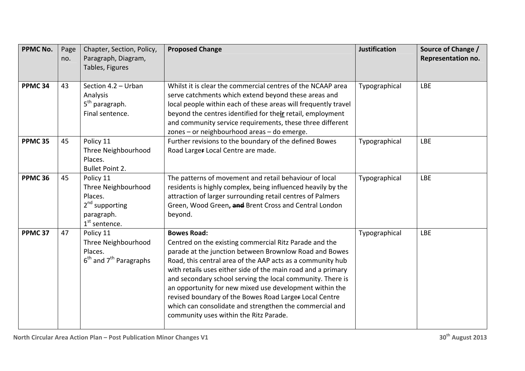| <b>PPMC No.</b>    | Page<br>no. | Chapter, Section, Policy,<br>Paragraph, Diagram,<br>Tables, Figures                                        | <b>Proposed Change</b>                                                                                                                                                                                                                                                                                                                                                                                                                                                                                                                                       | <b>Justification</b> | Source of Change /<br>Representation no. |
|--------------------|-------------|------------------------------------------------------------------------------------------------------------|--------------------------------------------------------------------------------------------------------------------------------------------------------------------------------------------------------------------------------------------------------------------------------------------------------------------------------------------------------------------------------------------------------------------------------------------------------------------------------------------------------------------------------------------------------------|----------------------|------------------------------------------|
| PPMC <sub>34</sub> | 43          | Section 4.2 - Urban<br>Analysis<br>5 <sup>th</sup> paragraph.<br>Final sentence.                           | Whilst it is clear the commercial centres of the NCAAP area<br>serve catchments which extend beyond these areas and<br>local people within each of these areas will frequently travel<br>beyond the centres identified for their retail, employment<br>and community service requirements, these three different<br>zones - or neighbourhood areas - do emerge.                                                                                                                                                                                              | Typographical        | <b>LBE</b>                               |
| PPMC <sub>35</sub> | 45          | Policy 11<br>Three Neighbourhood<br>Places.<br><b>Bullet Point 2.</b>                                      | Further revisions to the boundary of the defined Bowes<br>Road Larger Local Centre are made.                                                                                                                                                                                                                                                                                                                                                                                                                                                                 | Typographical        | <b>LBE</b>                               |
| PPMC <sub>36</sub> | 45          | Policy 11<br>Three Neighbourhood<br>Places.<br>2 <sup>nd</sup> supporting<br>paragraph.<br>$1st$ sentence. | The patterns of movement and retail behaviour of local<br>residents is highly complex, being influenced heavily by the<br>attraction of larger surrounding retail centres of Palmers<br>Green, Wood Green, and Brent Cross and Central London<br>beyond.                                                                                                                                                                                                                                                                                                     | Typographical        | <b>LBE</b>                               |
| PPMC <sub>37</sub> | 47          | Policy 11<br>Three Neighbourhood<br>Places.<br>$6th$ and $7th$ Paragraphs                                  | <b>Bowes Road:</b><br>Centred on the existing commercial Ritz Parade and the<br>parade at the junction between Brownlow Road and Bowes<br>Road, this central area of the AAP acts as a community hub<br>with retails uses either side of the main road and a primary<br>and secondary school serving the local community. There is<br>an opportunity for new mixed use development within the<br>revised boundary of the Bowes Road Larger Local Centre<br>which can consolidate and strengthen the commercial and<br>community uses within the Ritz Parade. | Typographical        | <b>LBE</b>                               |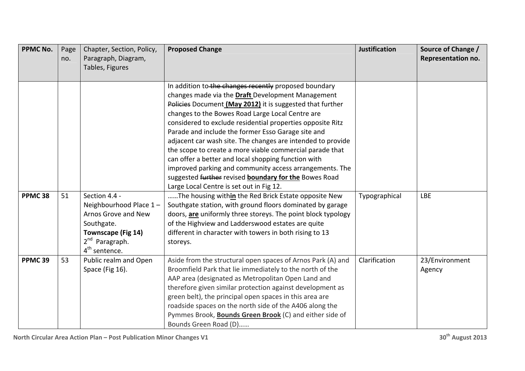| <b>PPMC No.</b>    | Page<br>no. | Chapter, Section, Policy,<br>Paragraph, Diagram,<br>Tables, Figures | <b>Proposed Change</b>                                                                                          | <b>Justification</b> | Source of Change /<br>Representation no. |
|--------------------|-------------|---------------------------------------------------------------------|-----------------------------------------------------------------------------------------------------------------|----------------------|------------------------------------------|
|                    |             |                                                                     |                                                                                                                 |                      |                                          |
|                    |             |                                                                     | In addition to the changes recently proposed boundary                                                           |                      |                                          |
|                    |             |                                                                     | changes made via the Draft Development Management                                                               |                      |                                          |
|                    |             |                                                                     | Policies Document (May 2012) it is suggested that further                                                       |                      |                                          |
|                    |             |                                                                     | changes to the Bowes Road Large Local Centre are                                                                |                      |                                          |
|                    |             |                                                                     | considered to exclude residential properties opposite Ritz                                                      |                      |                                          |
|                    |             |                                                                     | Parade and include the former Esso Garage site and                                                              |                      |                                          |
|                    |             |                                                                     | adjacent car wash site. The changes are intended to provide                                                     |                      |                                          |
|                    |             |                                                                     | the scope to create a more viable commercial parade that<br>can offer a better and local shopping function with |                      |                                          |
|                    |             |                                                                     | improved parking and community access arrangements. The                                                         |                      |                                          |
|                    |             |                                                                     | suggested further revised boundary for the Bowes Road                                                           |                      |                                          |
|                    |             |                                                                     | Large Local Centre is set out in Fig 12.                                                                        |                      |                                          |
| PPMC <sub>38</sub> | 51          | Section 4.4 -                                                       | The housing within the Red Brick Estate opposite New                                                            | Typographical        | <b>LBE</b>                               |
|                    |             | Neighbourhood Place 1-                                              | Southgate station, with ground floors dominated by garage                                                       |                      |                                          |
|                    |             | Arnos Grove and New                                                 | doors, are uniformly three storeys. The point block typology                                                    |                      |                                          |
|                    |             | Southgate.                                                          | of the Highview and Ladderswood estates are quite                                                               |                      |                                          |
|                    |             | <b>Townscape (Fig 14)</b>                                           | different in character with towers in both rising to 13                                                         |                      |                                          |
|                    |             | 2 <sup>nd</sup> Paragraph.                                          | storeys.                                                                                                        |                      |                                          |
|                    |             | 4 <sup>th</sup> sentence.                                           |                                                                                                                 |                      |                                          |
| PPMC <sub>39</sub> | 53          | Public realm and Open                                               | Aside from the structural open spaces of Arnos Park (A) and                                                     | Clarification        | 23/Environment                           |
|                    |             | Space (Fig 16).                                                     | Broomfield Park that lie immediately to the north of the                                                        |                      | Agency                                   |
|                    |             |                                                                     | AAP area (designated as Metropolitan Open Land and                                                              |                      |                                          |
|                    |             |                                                                     | therefore given similar protection against development as                                                       |                      |                                          |
|                    |             |                                                                     | green belt), the principal open spaces in this area are                                                         |                      |                                          |
|                    |             |                                                                     | roadside spaces on the north side of the A406 along the                                                         |                      |                                          |
|                    |             |                                                                     | Pymmes Brook, <b>Bounds Green Brook</b> (C) and either side of                                                  |                      |                                          |
|                    |             |                                                                     | Bounds Green Road (D)                                                                                           |                      |                                          |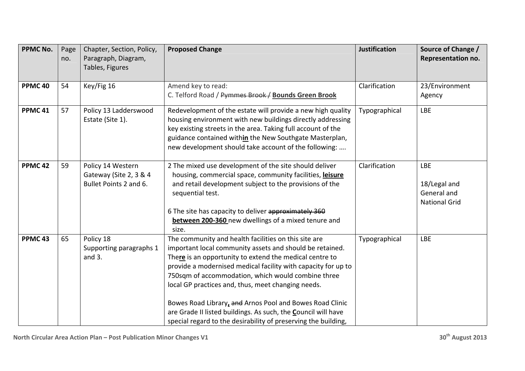| <b>PPMC No.</b>    | Page<br>no. | Chapter, Section, Policy,<br>Paragraph, Diagram,<br>Tables, Figures   | <b>Proposed Change</b>                                                                                                                                                                                                                                                                                                                                                                                                                                                                                                                                  | <b>Justification</b> | Source of Change /<br><b>Representation no.</b>                   |
|--------------------|-------------|-----------------------------------------------------------------------|---------------------------------------------------------------------------------------------------------------------------------------------------------------------------------------------------------------------------------------------------------------------------------------------------------------------------------------------------------------------------------------------------------------------------------------------------------------------------------------------------------------------------------------------------------|----------------------|-------------------------------------------------------------------|
| PPMC <sub>40</sub> | 54          | Key/Fig 16                                                            | Amend key to read:<br>C. Telford Road / Pymmes Brook / Bounds Green Brook                                                                                                                                                                                                                                                                                                                                                                                                                                                                               | Clarification        | 23/Environment<br>Agency                                          |
| PPMC <sub>41</sub> | 57          | Policy 13 Ladderswood<br>Estate (Site 1).                             | Redevelopment of the estate will provide a new high quality<br>housing environment with new buildings directly addressing<br>key existing streets in the area. Taking full account of the<br>guidance contained within the New Southgate Masterplan,<br>new development should take account of the following:                                                                                                                                                                                                                                           | Typographical        | <b>LBE</b>                                                        |
| PPMC <sub>42</sub> | 59          | Policy 14 Western<br>Gateway (Site 2, 3 & 4<br>Bullet Points 2 and 6. | 2 The mixed use development of the site should deliver<br>housing, commercial space, community facilities, leisure<br>and retail development subject to the provisions of the<br>sequential test.<br>6 The site has capacity to deliver approximately 360<br>between 200-360 new dwellings of a mixed tenure and<br>size.                                                                                                                                                                                                                               | Clarification        | <b>LBE</b><br>18/Legal and<br>General and<br><b>National Grid</b> |
| PPMC <sub>43</sub> | 65          | Policy 18<br>Supporting paragraphs 1<br>and $3.$                      | The community and health facilities on this site are<br>important local community assets and should be retained.<br>There is an opportunity to extend the medical centre to<br>provide a modernised medical facility with capacity for up to<br>750sqm of accommodation, which would combine three<br>local GP practices and, thus, meet changing needs.<br>Bowes Road Library, and Arnos Pool and Bowes Road Clinic<br>are Grade II listed buildings. As such, the Council will have<br>special regard to the desirability of preserving the building, | Typographical        | <b>LBE</b>                                                        |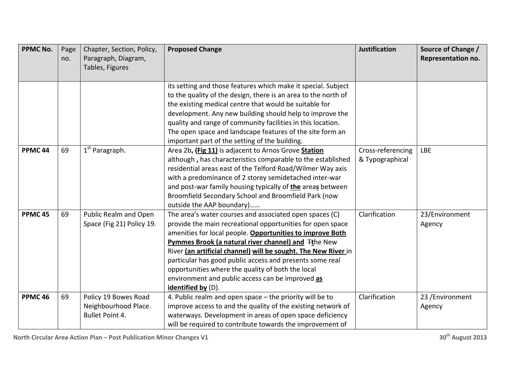| <b>PPMC No.</b>    | Page<br>no. | Chapter, Section, Policy,<br>Paragraph, Diagram,<br>Tables, Figures    | <b>Proposed Change</b>                                                                                                                                                                                                                                                                                                                                                                                                                                                                                    | <b>Justification</b>                 | Source of Change /<br>Representation no. |
|--------------------|-------------|------------------------------------------------------------------------|-----------------------------------------------------------------------------------------------------------------------------------------------------------------------------------------------------------------------------------------------------------------------------------------------------------------------------------------------------------------------------------------------------------------------------------------------------------------------------------------------------------|--------------------------------------|------------------------------------------|
|                    |             |                                                                        | its setting and those features which make it special. Subject<br>to the quality of the design, there is an area to the north of<br>the existing medical centre that would be suitable for<br>development. Any new building should help to improve the<br>quality and range of community facilities in this location.<br>The open space and landscape features of the site form an<br>important part of the setting of the building.                                                                       |                                      |                                          |
| PPMC <sub>44</sub> | 69          | 1 <sup>st</sup> Paragraph.                                             | Area 2b, (Fig 11) is adjacent to Arnos Grove Station<br>although, has characteristics comparable to the established<br>residential areas east of the Telford Road/Wilmer Way axis<br>with a predominance of 2 storey semidetached inter-war<br>and post-war family housing typically of the areas between<br>Broomfield Secondary School and Broomfield Park (now<br>outside the AAP boundary)                                                                                                            | Cross-referencing<br>& Typographical | <b>LBE</b>                               |
| PPMC <sub>45</sub> | 69          | Public Realm and Open<br>Space (Fig 21) Policy 19.                     | The area's water courses and associated open spaces (C)<br>provide the main recreational opportunities for open space<br>amenities for local people. Opportunities to improve Both<br>Pymmes Brook (a natural river channel) and Ithe New<br>River (an artificial channel) will be sought. The New River in<br>particular has good public access and presents some real<br>opportunities where the quality of both the local<br>environment and public access can be improved as<br>identified by $(D)$ . | Clarification                        | 23/Environment<br>Agency                 |
| PPMC <sub>46</sub> | 69          | Policy 19 Bowes Road<br>Neighbourhood Place.<br><b>Bullet Point 4.</b> | 4. Public realm and open space - the priority will be to<br>improve access to and the quality of the existing network of<br>waterways. Development in areas of open space deficiency<br>will be required to contribute towards the improvement of                                                                                                                                                                                                                                                         | Clarification                        | 23 /Environment<br>Agency                |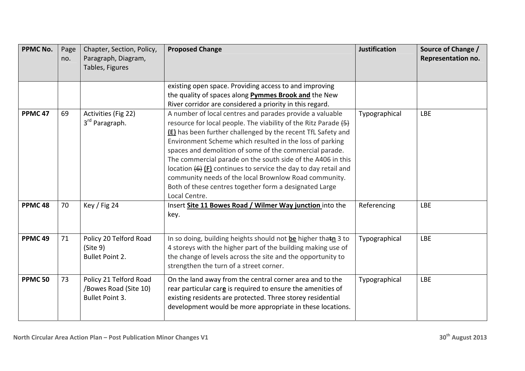| <b>PPMC No.</b>    | Page<br>no. | Chapter, Section, Policy,<br>Paragraph, Diagram,<br>Tables, Figures       | <b>Proposed Change</b>                                                                                                                                                                                                                                                                                                                                                                                                                                                                                                                                                                                         | <b>Justification</b> | Source of Change /<br>Representation no. |
|--------------------|-------------|---------------------------------------------------------------------------|----------------------------------------------------------------------------------------------------------------------------------------------------------------------------------------------------------------------------------------------------------------------------------------------------------------------------------------------------------------------------------------------------------------------------------------------------------------------------------------------------------------------------------------------------------------------------------------------------------------|----------------------|------------------------------------------|
|                    |             |                                                                           | existing open space. Providing access to and improving<br>the quality of spaces along <b>Pymmes Brook and</b> the New<br>River corridor are considered a priority in this regard.                                                                                                                                                                                                                                                                                                                                                                                                                              |                      |                                          |
| PPMC <sub>47</sub> | 69          | Activities (Fig 22)<br>3 <sup>rd</sup> Paragraph.                         | A number of local centres and parades provide a valuable<br>resource for local people. The viability of the Ritz Parade (5)<br><b>(E)</b> has been further challenged by the recent TfL Safety and<br>Environment Scheme which resulted in the loss of parking<br>spaces and demolition of some of the commercial parade.<br>The commercial parade on the south side of the A406 in this<br>location $\left\{6\right\}$ (F) continues to service the day to day retail and<br>community needs of the local Brownlow Road community.<br>Both of these centres together form a designated Large<br>Local Centre. | Typographical        | <b>LBE</b>                               |
| PPMC <sub>48</sub> | 70          | Key / Fig 24                                                              | Insert Site 11 Bowes Road / Wilmer Way junction into the<br>key.                                                                                                                                                                                                                                                                                                                                                                                                                                                                                                                                               | Referencing          | <b>LBE</b>                               |
| PPMC <sub>49</sub> | 71          | Policy 20 Telford Road<br>(Site 9)<br><b>Bullet Point 2.</b>              | In so doing, building heights should not be higher thatn 3 to<br>4 storeys with the higher part of the building making use of<br>the change of levels across the site and the opportunity to<br>strengthen the turn of a street corner.                                                                                                                                                                                                                                                                                                                                                                        | Typographical        | <b>LBE</b>                               |
| <b>PPMC 50</b>     | 73          | Policy 21 Telford Road<br>/Bowes Road (Site 10)<br><b>Bullet Point 3.</b> | On the land away from the central corner area and to the<br>rear particular care is required to ensure the amenities of<br>existing residents are protected. Three storey residential<br>development would be more appropriate in these locations.                                                                                                                                                                                                                                                                                                                                                             | Typographical        | <b>LBE</b>                               |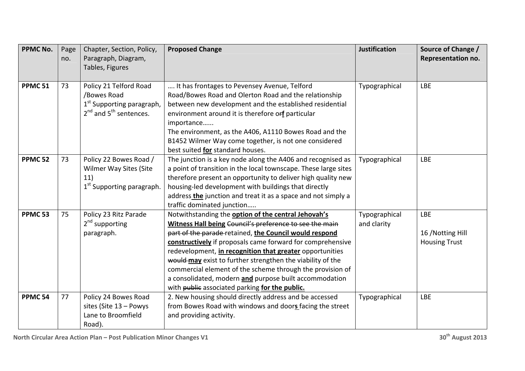| <b>PPMC No.</b>    | Page<br>no. | Chapter, Section, Policy,<br>Paragraph, Diagram,<br>Tables, Figures                                      | <b>Proposed Change</b>                                                                                                                                                                                                                                                                                                                                                                                                                                                                                                                    | <b>Justification</b>         | Source of Change /<br>Representation no.                |
|--------------------|-------------|----------------------------------------------------------------------------------------------------------|-------------------------------------------------------------------------------------------------------------------------------------------------------------------------------------------------------------------------------------------------------------------------------------------------------------------------------------------------------------------------------------------------------------------------------------------------------------------------------------------------------------------------------------------|------------------------------|---------------------------------------------------------|
| <b>PPMC 51</b>     | 73          | Policy 21 Telford Road<br>/Bowes Road<br>$1st$ Supporting paragraph,<br>$2^{nd}$ and $5^{th}$ sentences. | It has frontages to Pevensey Avenue, Telford<br>Road/Bowes Road and Olerton Road and the relationship<br>between new development and the established residential<br>environment around it is therefore orf particular<br>importance<br>The environment, as the A406, A1110 Bowes Road and the<br>B1452 Wilmer Way come together, is not one considered<br>best suited for standard houses.                                                                                                                                                | Typographical                | <b>LBE</b>                                              |
| <b>PPMC 52</b>     | 73          | Policy 22 Bowes Road /<br>Wilmer Way Sites (Site<br>11)<br>1 <sup>st</sup> Supporting paragraph.         | The junction is a key node along the A406 and recognised as<br>a point of transition in the local townscape. These large sites<br>therefore present an opportunity to deliver high quality new<br>housing-led development with buildings that directly<br>address the junction and treat it as a space and not simply a<br>traffic dominated junction                                                                                                                                                                                     | Typographical                | <b>LBE</b>                                              |
| PPMC <sub>53</sub> | 75          | Policy 23 Ritz Parade<br>2 <sup>nd</sup> supporting<br>paragraph.                                        | Notwithstanding the option of the central Jehovah's<br>Witness Hall being Council's preference to see the main<br>part of the parade-retained, the Council would respond<br>constructively if proposals came forward for comprehensive<br>redevelopment, in recognition that greater opportunities<br>would may exist to further strengthen the viability of the<br>commercial element of the scheme through the provision of<br>a consolidated, modern and purpose built accommodation<br>with public associated parking for the public. | Typographical<br>and clarity | <b>LBE</b><br>16 / Notting Hill<br><b>Housing Trust</b> |
| PPMC <sub>54</sub> | 77          | Policy 24 Bowes Road<br>sites (Site 13 - Powys<br>Lane to Broomfield<br>Road).                           | 2. New housing should directly address and be accessed<br>from Bowes Road with windows and doors facing the street<br>and providing activity.                                                                                                                                                                                                                                                                                                                                                                                             | Typographical                | <b>LBE</b>                                              |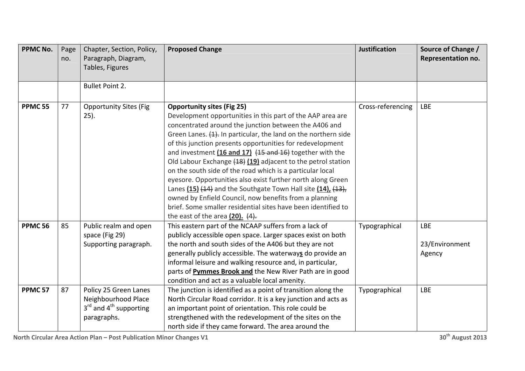| <b>PPMC No.</b>    | Page<br>no. | Chapter, Section, Policy,<br>Paragraph, Diagram,<br>Tables, Figures                       | <b>Proposed Change</b>                                                                                                                                                                                                                                                                                                                                                                                                                                                                                                                                                                                                                                                                                                                                                                      | <b>Justification</b> | Source of Change /<br>Representation no. |
|--------------------|-------------|-------------------------------------------------------------------------------------------|---------------------------------------------------------------------------------------------------------------------------------------------------------------------------------------------------------------------------------------------------------------------------------------------------------------------------------------------------------------------------------------------------------------------------------------------------------------------------------------------------------------------------------------------------------------------------------------------------------------------------------------------------------------------------------------------------------------------------------------------------------------------------------------------|----------------------|------------------------------------------|
|                    |             |                                                                                           |                                                                                                                                                                                                                                                                                                                                                                                                                                                                                                                                                                                                                                                                                                                                                                                             |                      |                                          |
|                    |             | <b>Bullet Point 2.</b>                                                                    |                                                                                                                                                                                                                                                                                                                                                                                                                                                                                                                                                                                                                                                                                                                                                                                             |                      |                                          |
| <b>PPMC 55</b>     | 77          | <b>Opportunity Sites (Fig.</b><br>$25$ ).                                                 | <b>Opportunity sites (Fig 25)</b><br>Development opportunities in this part of the AAP area are<br>concentrated around the junction between the A406 and<br>Green Lanes. (1). In particular, the land on the northern side<br>of this junction presents opportunities for redevelopment<br>and investment $(16$ and $17)$ $(15$ and $16)$ together with the<br>Old Labour Exchange (18) (19) adjacent to the petrol station<br>on the south side of the road which is a particular local<br>eyesore. Opportunities also exist further north along Green<br>Lanes (15) (14) and the Southgate Town Hall site (14), (13),<br>owned by Enfield Council, now benefits from a planning<br>brief. Some smaller residential sites have been identified to<br>the east of the area $(20)$ . $(4)$ . | Cross-referencing    | <b>LBE</b>                               |
| <b>PPMC 56</b>     | 85          | Public realm and open<br>space (Fig 29)<br>Supporting paragraph.                          | This eastern part of the NCAAP suffers from a lack of<br>publicly accessible open space. Larger spaces exist on both<br>the north and south sides of the A406 but they are not<br>generally publicly accessible. The waterways do provide an<br>informal leisure and walking resource and, in particular,<br>parts of Pymmes Brook and the New River Path are in good<br>condition and act as a valuable local amenity.                                                                                                                                                                                                                                                                                                                                                                     | Typographical        | <b>LBE</b><br>23/Environment<br>Agency   |
| PPMC <sub>57</sub> | 87          | Policy 25 Green Lanes<br>Neighbourhood Place<br>$3rd$ and $4th$ supporting<br>paragraphs. | The junction is identified as a point of transition along the<br>North Circular Road corridor. It is a key junction and acts as<br>an important point of orientation. This role could be<br>strengthened with the redevelopment of the sites on the<br>north side if they came forward. The area around the                                                                                                                                                                                                                                                                                                                                                                                                                                                                                 | Typographical        | <b>LBE</b>                               |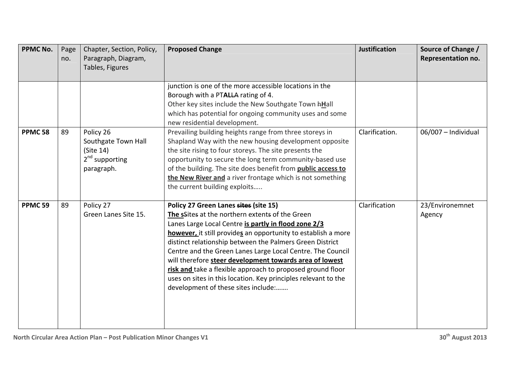| <b>PPMC No.</b>    | Page<br>no. | Chapter, Section, Policy,<br>Paragraph, Diagram,<br>Tables, Figures             | <b>Proposed Change</b>                                                                                                                                                                                                                                                                                                                                                                                                                                                                                                                                                        | <b>Justification</b> | Source of Change /<br>Representation no. |
|--------------------|-------------|---------------------------------------------------------------------------------|-------------------------------------------------------------------------------------------------------------------------------------------------------------------------------------------------------------------------------------------------------------------------------------------------------------------------------------------------------------------------------------------------------------------------------------------------------------------------------------------------------------------------------------------------------------------------------|----------------------|------------------------------------------|
|                    |             |                                                                                 | junction is one of the more accessible locations in the<br>Borough with a PTALLA rating of 4.<br>Other key sites include the New Southgate Town hHall<br>which has potential for ongoing community uses and some<br>new residential development.                                                                                                                                                                                                                                                                                                                              |                      |                                          |
| PPMC <sub>58</sub> | 89          | Policy 26<br>Southgate Town Hall<br>(Site 14)<br>$2nd$ supporting<br>paragraph. | Prevailing building heights range from three storeys in<br>Shapland Way with the new housing development opposite<br>the site rising to four storeys. The site presents the<br>opportunity to secure the long term community-based use<br>of the building. The site does benefit from public access to<br>the New River and a river frontage which is not something<br>the current building exploits                                                                                                                                                                          | Clarification.       | 06/007 - Individual                      |
| PPMC <sub>59</sub> | 89          | Policy 27<br>Green Lanes Site 15.                                               | Policy 27 Green Lanes sites (site 15)<br>The sSites at the northern extents of the Green<br>Lanes Large Local Centre is partly in flood zone 2/3<br>however, it still provides an opportunity to establish a more<br>distinct relationship between the Palmers Green District<br>Centre and the Green Lanes Large Local Centre. The Council<br>will therefore steer development towards area of lowest<br>risk and take a flexible approach to proposed ground floor<br>uses on sites in this location. Key principles relevant to the<br>development of these sites include: | Clarification        | 23/Environemnet<br>Agency                |